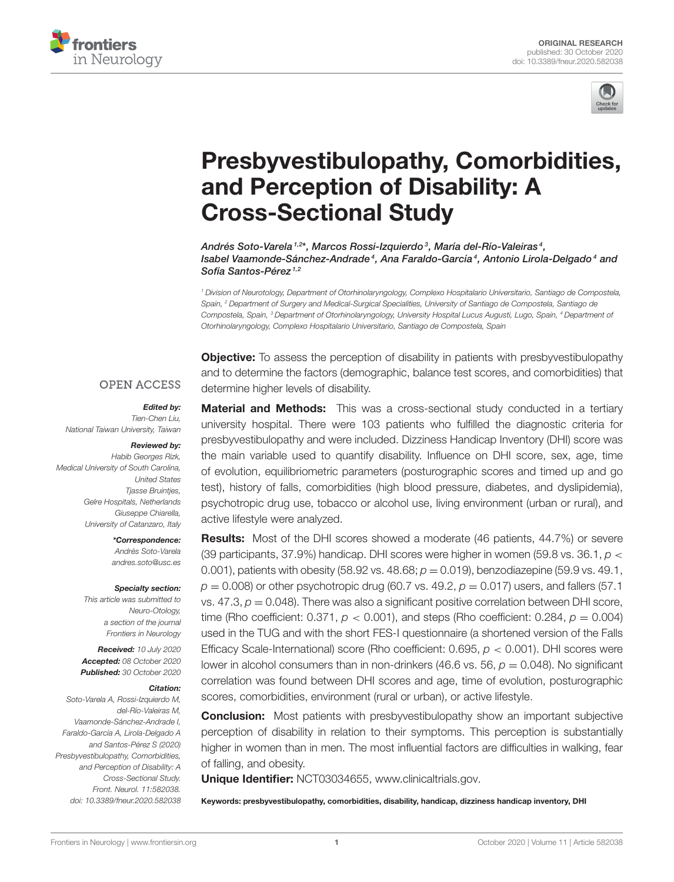



# [Presbyvestibulopathy, Comorbidities,](https://www.frontiersin.org/articles/10.3389/fneur.2020.582038/full) and Perception of Disability: A Cross-Sectional Study

Andrés Soto-Varela <sup>1,2\*</sup>, Marcos Rossi-Izquierdo <sup>3</sup>, María del-Río-Valeiras <sup>4</sup>, Isabel Vaamonde-Sánchez-Andrade<sup>4</sup>, Ana Faraldo-García<sup>4</sup>, Antonio Lirola-Delgado<sup>4</sup> and Sofía Santos-Pérez<sup>1,2</sup>

<sup>1</sup> Division of Neurotology, Department of Otorhinolaryngology, Complexo Hospitalario Universitario, Santiago de Compostela, Spain, <sup>2</sup> Department of Surgery and Medical-Surgical Specialities, University of Santiago de Compostela, Santiago de Compostela, Spain, <sup>3</sup> Department of Otorhinolaryngology, University Hospital Lucus Augusti, Lugo, Spain, <sup>4</sup> Department of Otorhinolaryngology, Complexo Hospitalario Universitario, Santiago de Compostela, Spain

**Objective:** To assess the perception of disability in patients with presbyvestibulopathy and to determine the factors (demographic, balance test scores, and comorbidities) that determine higher levels of disability.

#### **OPEN ACCESS**

Edited by: Tien-Chen Liu, National Taiwan University, Taiwan

#### Reviewed by:

Habib Georges Rizk, Medical University of South Carolina, United States **Tiasse Bruinties,** Gelre Hospitals, Netherlands Giuseppe Chiarella, University of Catanzaro, Italy

> \*Correspondence: Andrés Soto-Varela [andres.soto@usc.es](mailto:andres.soto@usc.es)

#### Specialty section:

This article was submitted to Neuro-Otology, a section of the journal Frontiers in Neurology

Received: 10 July 2020 Accepted: 08 October 2020 Published: 30 October 2020

#### Citation:

Soto-Varela A, Rossi-Izquierdo M, del-Río-Valeiras M, Vaamonde-Sánchez-Andrade I, Faraldo-García A, Lirola-Delgado A and Santos-Pérez S (2020) Presbyvestibulopathy, Comorbidities, and Perception of Disability: A Cross-Sectional Study. Front. Neurol. 11:582038. doi: [10.3389/fneur.2020.582038](https://doi.org/10.3389/fneur.2020.582038)

**Material and Methods:** This was a cross-sectional study conducted in a tertiary university hospital. There were 103 patients who fulfilled the diagnostic criteria for presbyvestibulopathy and were included. Dizziness Handicap Inventory (DHI) score was the main variable used to quantify disability. Influence on DHI score, sex, age, time of evolution, equilibriometric parameters (posturographic scores and timed up and go test), history of falls, comorbidities (high blood pressure, diabetes, and dyslipidemia), psychotropic drug use, tobacco or alcohol use, living environment (urban or rural), and active lifestyle were analyzed.

**Results:** Most of the DHI scores showed a moderate (46 patients, 44.7%) or severe (39 participants, 37.9%) handicap. DHI scores were higher in women (59.8 vs. 36.1,  $p <$ 0.001), patients with obesity (58.92 vs. 48.68;  $p = 0.019$ ), benzodiazepine (59.9 vs. 49.1,  $p = 0.008$ ) or other psychotropic drug (60.7 vs. 49.2,  $p = 0.017$ ) users, and fallers (57.1) vs.  $47.3$ ,  $p = 0.048$ ). There was also a significant positive correlation between DHI score, time (Rho coefficient: 0.371,  $p < 0.001$ ), and steps (Rho coefficient: 0.284,  $p = 0.004$ ) used in the TUG and with the short FES-I questionnaire (a shortened version of the Falls Efficacy Scale-International) score (Rho coefficient:  $0.695$ ,  $p < 0.001$ ). DHI scores were lower in alcohol consumers than in non-drinkers (46.6 vs. 56,  $p = 0.048$ ). No significant correlation was found between DHI scores and age, time of evolution, posturographic scores, comorbidities, environment (rural or urban), or active lifestyle.

**Conclusion:** Most patients with presbyvestibulopathy show an important subjective perception of disability in relation to their symptoms. This perception is substantially higher in women than in men. The most influential factors are difficulties in walking, fear of falling, and obesity.

Unique Identifier: NCT03034655, [www.clinicaltrials.gov.](www.clinicaltrials.gov)

Keywords: presbyvestibulopathy, comorbidities, disability, handicap, dizziness handicap inventory, DHI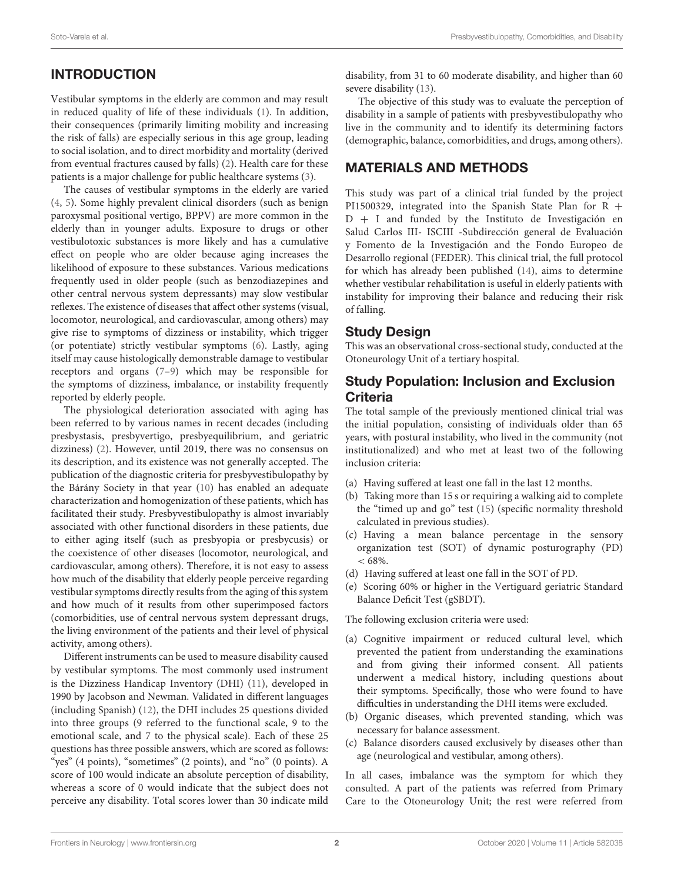# INTRODUCTION

Vestibular symptoms in the elderly are common and may result in reduced quality of life of these individuals [\(1\)](#page-8-0). In addition, their consequences (primarily limiting mobility and increasing the risk of falls) are especially serious in this age group, leading to social isolation, and to direct morbidity and mortality (derived from eventual fractures caused by falls) [\(2\)](#page-8-1). Health care for these patients is a major challenge for public healthcare systems [\(3\)](#page-8-2).

The causes of vestibular symptoms in the elderly are varied [\(4,](#page-8-3) [5\)](#page-8-4). Some highly prevalent clinical disorders (such as benign paroxysmal positional vertigo, BPPV) are more common in the elderly than in younger adults. Exposure to drugs or other vestibulotoxic substances is more likely and has a cumulative effect on people who are older because aging increases the likelihood of exposure to these substances. Various medications frequently used in older people (such as benzodiazepines and other central nervous system depressants) may slow vestibular reflexes. The existence of diseases that affect other systems (visual, locomotor, neurological, and cardiovascular, among others) may give rise to symptoms of dizziness or instability, which trigger (or potentiate) strictly vestibular symptoms [\(6\)](#page-8-5). Lastly, aging itself may cause histologically demonstrable damage to vestibular receptors and organs [\(7](#page-8-6)[–9\)](#page-8-7) which may be responsible for the symptoms of dizziness, imbalance, or instability frequently reported by elderly people.

The physiological deterioration associated with aging has been referred to by various names in recent decades (including presbystasis, presbyvertigo, presbyequilibrium, and geriatric dizziness) [\(2\)](#page-8-1). However, until 2019, there was no consensus on its description, and its existence was not generally accepted. The publication of the diagnostic criteria for presbyvestibulopathy by the Bárány Society in that year [\(10\)](#page-8-8) has enabled an adequate characterization and homogenization of these patients, which has facilitated their study. Presbyvestibulopathy is almost invariably associated with other functional disorders in these patients, due to either aging itself (such as presbyopia or presbycusis) or the coexistence of other diseases (locomotor, neurological, and cardiovascular, among others). Therefore, it is not easy to assess how much of the disability that elderly people perceive regarding vestibular symptoms directly results from the aging of this system and how much of it results from other superimposed factors (comorbidities, use of central nervous system depressant drugs, the living environment of the patients and their level of physical activity, among others).

Different instruments can be used to measure disability caused by vestibular symptoms. The most commonly used instrument is the Dizziness Handicap Inventory (DHI) [\(11\)](#page-8-9), developed in 1990 by Jacobson and Newman. Validated in different languages (including Spanish) [\(12\)](#page-8-10), the DHI includes 25 questions divided into three groups (9 referred to the functional scale, 9 to the emotional scale, and 7 to the physical scale). Each of these 25 questions has three possible answers, which are scored as follows: "yes" (4 points), "sometimes" (2 points), and "no" (0 points). A score of 100 would indicate an absolute perception of disability, whereas a score of 0 would indicate that the subject does not perceive any disability. Total scores lower than 30 indicate mild disability, from 31 to 60 moderate disability, and higher than 60 severe disability [\(13\)](#page-8-11).

The objective of this study was to evaluate the perception of disability in a sample of patients with presbyvestibulopathy who live in the community and to identify its determining factors (demographic, balance, comorbidities, and drugs, among others).

# MATERIALS AND METHODS

This study was part of a clinical trial funded by the project PI1500329, integrated into the Spanish State Plan for  $R +$ D + I and funded by the Instituto de Investigación en Salud Carlos III- ISCIII -Subdirección general de Evaluación y Fomento de la Investigación and the Fondo Europeo de Desarrollo regional (FEDER). This clinical trial, the full protocol for which has already been published [\(14\)](#page-8-12), aims to determine whether vestibular rehabilitation is useful in elderly patients with instability for improving their balance and reducing their risk of falling.

#### Study Design

This was an observational cross-sectional study, conducted at the Otoneurology Unit of a tertiary hospital.

#### Study Population: Inclusion and Exclusion **Criteria**

The total sample of the previously mentioned clinical trial was the initial population, consisting of individuals older than 65 years, with postural instability, who lived in the community (not institutionalized) and who met at least two of the following inclusion criteria:

- (a) Having suffered at least one fall in the last 12 months.
- (b) Taking more than 15 s or requiring a walking aid to complete the "timed up and go" test [\(15\)](#page-8-13) (specific normality threshold calculated in previous studies).
- (c) Having a mean balance percentage in the sensory organization test (SOT) of dynamic posturography (PD)  $< 68\%$
- (d) Having suffered at least one fall in the SOT of PD.
- (e) Scoring 60% or higher in the Vertiguard geriatric Standard Balance Deficit Test (gSBDT).

The following exclusion criteria were used:

- (a) Cognitive impairment or reduced cultural level, which prevented the patient from understanding the examinations and from giving their informed consent. All patients underwent a medical history, including questions about their symptoms. Specifically, those who were found to have difficulties in understanding the DHI items were excluded.
- (b) Organic diseases, which prevented standing, which was necessary for balance assessment.
- (c) Balance disorders caused exclusively by diseases other than age (neurological and vestibular, among others).

In all cases, imbalance was the symptom for which they consulted. A part of the patients was referred from Primary Care to the Otoneurology Unit; the rest were referred from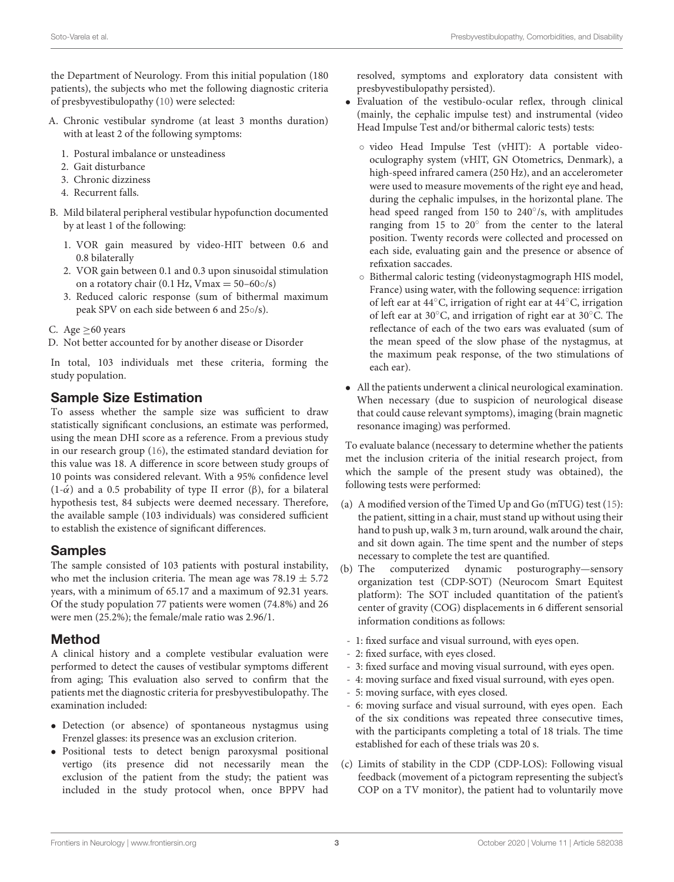the Department of Neurology. From this initial population (180 patients), the subjects who met the following diagnostic criteria of presbyvestibulopathy [\(10\)](#page-8-8) were selected:

- A. Chronic vestibular syndrome (at least 3 months duration) with at least 2 of the following symptoms:
	- 1. Postural imbalance or unsteadiness
	- 2. Gait disturbance
	- 3. Chronic dizziness
	- 4. Recurrent falls.
- B. Mild bilateral peripheral vestibular hypofunction documented by at least 1 of the following:
	- 1. VOR gain measured by video-HIT between 0.6 and 0.8 bilaterally
	- 2. VOR gain between 0.1 and 0.3 upon sinusoidal stimulation on a rotatory chair (0.1 Hz, Vmax =  $50-60$  o/s)
	- 3. Reduced caloric response (sum of bithermal maximum peak SPV on each side between 6 and 25◦/s).
- C. Age  $\geq 60$  years
- D. Not better accounted for by another disease or Disorder

In total, 103 individuals met these criteria, forming the study population.

#### Sample Size Estimation

To assess whether the sample size was sufficient to draw statistically significant conclusions, an estimate was performed, using the mean DHI score as a reference. From a previous study in our research group [\(16\)](#page-8-14), the estimated standard deviation for this value was 18. A difference in score between study groups of 10 points was considered relevant. With a 95% confidence level (1-α´) and a 0.5 probability of type II error (β), for a bilateral hypothesis test, 84 subjects were deemed necessary. Therefore, the available sample (103 individuals) was considered sufficient to establish the existence of significant differences.

#### Samples

The sample consisted of 103 patients with postural instability, who met the inclusion criteria. The mean age was  $78.19 \pm 5.72$ years, with a minimum of 65.17 and a maximum of 92.31 years. Of the study population 77 patients were women (74.8%) and 26 were men (25.2%); the female/male ratio was 2.96/1.

## Method

A clinical history and a complete vestibular evaluation were performed to detect the causes of vestibular symptoms different from aging; This evaluation also served to confirm that the patients met the diagnostic criteria for presbyvestibulopathy. The examination included:

- Detection (or absence) of spontaneous nystagmus using Frenzel glasses: its presence was an exclusion criterion.
- Positional tests to detect benign paroxysmal positional vertigo (its presence did not necessarily mean the exclusion of the patient from the study; the patient was included in the study protocol when, once BPPV had

resolved, symptoms and exploratory data consistent with presbyvestibulopathy persisted).

- Evaluation of the vestibulo-ocular reflex, through clinical (mainly, the cephalic impulse test) and instrumental (video Head Impulse Test and/or bithermal caloric tests) tests:
	- video Head Impulse Test (vHIT): A portable videooculography system (vHIT, GN Otometrics, Denmark), a high-speed infrared camera (250 Hz), and an accelerometer were used to measure movements of the right eye and head, during the cephalic impulses, in the horizontal plane. The head speed ranged from 150 to 240°/s, with amplitudes ranging from 15 to 20◦ from the center to the lateral position. Twenty records were collected and processed on each side, evaluating gain and the presence or absence of refixation saccades.
	- Bithermal caloric testing (videonystagmograph HIS model, France) using water, with the following sequence: irrigation of left ear at 44◦C, irrigation of right ear at 44◦C, irrigation of left ear at 30◦C, and irrigation of right ear at 30◦C. The reflectance of each of the two ears was evaluated (sum of the mean speed of the slow phase of the nystagmus, at the maximum peak response, of the two stimulations of each ear).
- All the patients underwent a clinical neurological examination. When necessary (due to suspicion of neurological disease that could cause relevant symptoms), imaging (brain magnetic resonance imaging) was performed.

To evaluate balance (necessary to determine whether the patients met the inclusion criteria of the initial research project, from which the sample of the present study was obtained), the following tests were performed:

- (a) A modified version of the Timed Up and Go (mTUG) test [\(15\)](#page-8-13): the patient, sitting in a chair, must stand up without using their hand to push up, walk 3 m, turn around, walk around the chair, and sit down again. The time spent and the number of steps necessary to complete the test are quantified.<br>The computerized dynamic posturos
- (b) The computerized dynamic posturography—sensory organization test (CDP-SOT) (Neurocom Smart Equitest platform): The SOT included quantitation of the patient's center of gravity (COG) displacements in 6 different sensorial information conditions as follows:
- 1: fixed surface and visual surround, with eyes open.
- 2: fixed surface, with eyes closed.
- 3: fixed surface and moving visual surround, with eyes open.
- 4: moving surface and fixed visual surround, with eyes open.
- 5: moving surface, with eyes closed.
- 6: moving surface and visual surround, with eyes open. Each of the six conditions was repeated three consecutive times, with the participants completing a total of 18 trials. The time established for each of these trials was 20 s.
- (c) Limits of stability in the CDP (CDP-LOS): Following visual feedback (movement of a pictogram representing the subject's COP on a TV monitor), the patient had to voluntarily move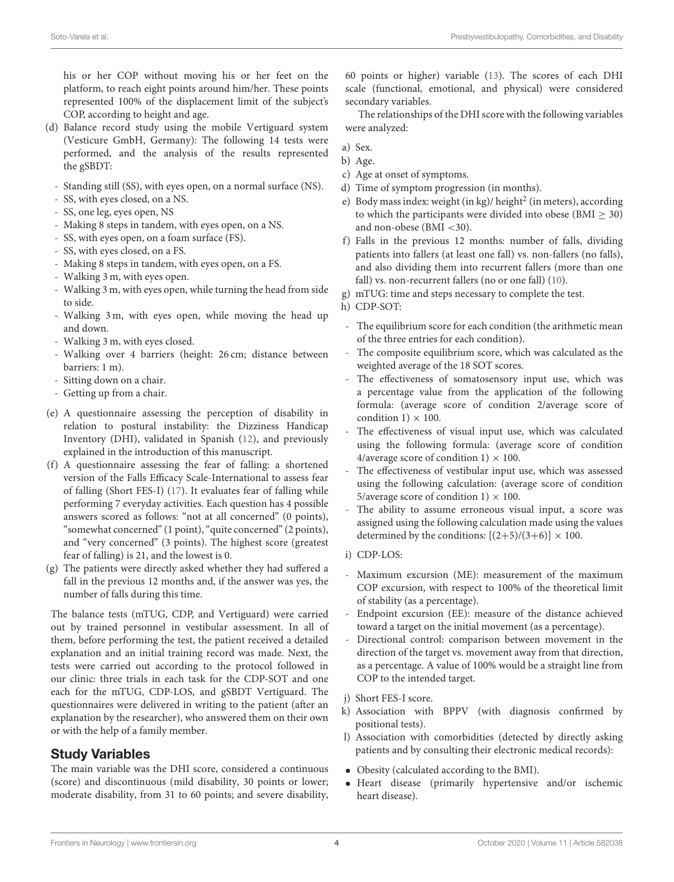his or her COP without moving his or her feet on the platform, to reach eight points around him/her. These points represented 100% of the displacement limit of the subject's COP, according to height and age.

- (d) Balance record study using the mobile Vertiguard system (Vesticure GmbH, Germany): The following 14 tests were performed, and the analysis of the results represented the gSBDT:
	- Standing still (SS), with eyes open, on a normal surface (NS).
	- SS, with eyes closed, on a NS.
	- SS, one leg, eyes open, NS
	- Making 8 steps in tandem, with eyes open, on a NS.
	- SS, with eyes open, on a foam surface (FS).
	- SS, with eyes closed, on a FS.
	- Making 8 steps in tandem, with eyes open, on a FS.
	- Walking 3 m, with eyes open.
	- Walking 3 m, with eyes open, while turning the head from side to side.
	- Walking 3 m, with eyes open, while moving the head up and down.
	- Walking 3 m, with eyes closed.
	- Walking over 4 barriers (height: 26 cm; distance between barriers: 1 m).
	- Sitting down on a chair.
	- Getting up from a chair.
- (e) A questionnaire assessing the perception of disability in relation to postural instability: the Dizziness Handicap Inventory (DHI), validated in Spanish [\(12\)](#page-8-10), and previously explained in the introduction of this manuscript.
- (f) A questionnaire assessing the fear of falling: a shortened version of the Falls Efficacy Scale-International to assess fear of falling (Short FES-I) [\(17\)](#page-8-15). It evaluates fear of falling while performing 7 everyday activities. Each question has 4 possible answers scored as follows: "not at all concerned" (0 points), "somewhat concerned" (1 point), "quite concerned" (2 points), and "very concerned" (3 points). The highest score (greatest fear of falling) is 21, and the lowest is 0.
- (g) The patients were directly asked whether they had suffered a fall in the previous 12 months and, if the answer was yes, the number of falls during this time.

The balance tests (mTUG, CDP, and Vertiguard) were carried out by trained personnel in vestibular assessment. In all of them, before performing the test, the patient received a detailed explanation and an initial training record was made. Next, the tests were carried out according to the protocol followed in our clinic: three trials in each task for the CDP-SOT and one each for the mTUG, CDP-LOS, and gSBDT Vertiguard. The questionnaires were delivered in writing to the patient (after an explanation by the researcher), who answered them on their own or with the help of a family member.

#### Study Variables

The main variable was the DHI score, considered a continuous (score) and discontinuous (mild disability, 30 points or lower; moderate disability, from 31 to 60 points; and severe disability, 60 points or higher) variable [\(13\)](#page-8-11). The scores of each DHI scale (functional, emotional, and physical) were considered secondary variables.

The relationships of the DHI score with the following variables were analyzed:

- a) Sex.
- b) Age.
- c) Age at onset of symptoms.
- d) Time of symptom progression (in months).
- e) Body mass index: weight (in kg)/ height<sup>2</sup> (in meters), according to which the participants were divided into obese ( $\text{BMI} \geq 30$ ) and non-obese (BMI <30).
- f) Falls in the previous 12 months: number of falls, dividing patients into fallers (at least one fall) vs. non-fallers (no falls), and also dividing them into recurrent fallers (more than one fall) vs. non-recurrent fallers (no or one fall) [\(10\)](#page-8-8).
- g) mTUG: time and steps necessary to complete the test.
- h) CDP-SOT:
- The equilibrium score for each condition (the arithmetic mean of the three entries for each condition).
- The composite equilibrium score, which was calculated as the weighted average of the 18 SOT scores.
- The effectiveness of somatosensory input use, which was a percentage value from the application of the following formula: (average score of condition 2/average score of condition  $1 \times 100$ .
- The effectiveness of visual input use, which was calculated using the following formula: (average score of condition 4/average score of condition  $1) \times 100$ .
- The effectiveness of vestibular input use, which was assessed using the following calculation: (average score of condition 5/average score of condition 1)  $\times$  100.
- The ability to assume erroneous visual input, a score was assigned using the following calculation made using the values determined by the conditions:  $[(2+5)/(3+6)] \times 100$ .
- i) CDP-LOS:
- Maximum excursion (ME): measurement of the maximum COP excursion, with respect to 100% of the theoretical limit of stability (as a percentage).
- Endpoint excursion (EE): measure of the distance achieved toward a target on the initial movement (as a percentage).
- Directional control: comparison between movement in the direction of the target vs. movement away from that direction, as a percentage. A value of 100% would be a straight line from COP to the intended target.
- j) Short FES-I score.
- k) Association with BPPV (with diagnosis confirmed by positional tests).
- l) Association with comorbidities (detected by directly asking patients and by consulting their electronic medical records):
- Obesity (calculated according to the BMI).
- Heart disease (primarily hypertensive and/or ischemic heart disease).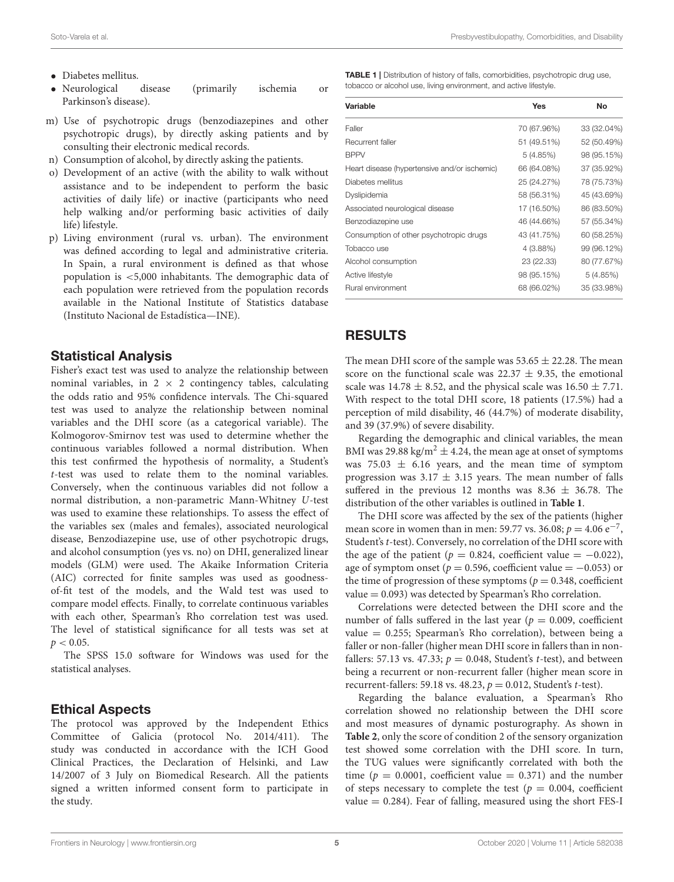- Diabetes mellitus.
- Neurological disease (primarily ischemia or Parkinson's disease).
- m) Use of psychotropic drugs (benzodiazepines and other psychotropic drugs), by directly asking patients and by consulting their electronic medical records.
- n) Consumption of alcohol, by directly asking the patients.
- o) Development of an active (with the ability to walk without assistance and to be independent to perform the basic activities of daily life) or inactive (participants who need help walking and/or performing basic activities of daily life) lifestyle.
- p) Living environment (rural vs. urban). The environment was defined according to legal and administrative criteria. In Spain, a rural environment is defined as that whose population is <5,000 inhabitants. The demographic data of each population were retrieved from the population records available in the National Institute of Statistics database (Instituto Nacional de Estadística—INE).

#### Statistical Analysis

Fisher's exact test was used to analyze the relationship between nominal variables, in  $2 \times 2$  contingency tables, calculating the odds ratio and 95% confidence intervals. The Chi-squared test was used to analyze the relationship between nominal variables and the DHI score (as a categorical variable). The Kolmogorov-Smirnov test was used to determine whether the continuous variables followed a normal distribution. When this test confirmed the hypothesis of normality, a Student's t-test was used to relate them to the nominal variables. Conversely, when the continuous variables did not follow a normal distribution, a non-parametric Mann-Whitney U-test was used to examine these relationships. To assess the effect of the variables sex (males and females), associated neurological disease, Benzodiazepine use, use of other psychotropic drugs, and alcohol consumption (yes vs. no) on DHI, generalized linear models (GLM) were used. The Akaike Information Criteria (AIC) corrected for finite samples was used as goodnessof-fit test of the models, and the Wald test was used to compare model effects. Finally, to correlate continuous variables with each other, Spearman's Rho correlation test was used. The level of statistical significance for all tests was set at  $p < 0.05$ .

The SPSS 15.0 software for Windows was used for the statistical analyses.

#### Ethical Aspects

The protocol was approved by the Independent Ethics Committee of Galicia (protocol No. 2014/411). The study was conducted in accordance with the ICH Good Clinical Practices, the Declaration of Helsinki, and Law 14/2007 of 3 July on Biomedical Research. All the patients signed a written informed consent form to participate in the study.

<span id="page-4-0"></span>

| <b>TABLE 1</b>   Distribution of history of falls, comorbidities, psychotropic drug use, |  |
|------------------------------------------------------------------------------------------|--|
| tobacco or alcohol use, living environment, and active lifestyle.                        |  |

| Variable                                     | Yes         | No          |
|----------------------------------------------|-------------|-------------|
| Faller                                       | 70 (67.96%) | 33 (32.04%) |
| Recurrent faller                             | 51 (49.51%) | 52 (50.49%) |
| <b>BPPV</b>                                  | 5(4.85%)    | 98 (95.15%) |
| Heart disease (hypertensive and/or ischemic) | 66 (64.08%) | 37 (35.92%) |
| Diabetes mellitus                            | 25 (24.27%) | 78 (75.73%) |
| Dyslipidemia                                 | 58 (56.31%) | 45 (43.69%) |
| Associated neurological disease              | 17 (16.50%) | 86 (83.50%) |
| Benzodiazepine use                           | 46 (44.66%) | 57 (55.34%) |
| Consumption of other psychotropic drugs      | 43 (41.75%) | 60 (58.25%) |
| Tobacco use                                  | 4 (3.88%)   | 99 (96.12%) |
| Alcohol consumption                          | 23 (22.33)  | 80 (77.67%) |
| Active lifestyle                             | 98 (95.15%) | 5(4.85%)    |
| Rural environment                            | 68 (66.02%) | 35 (33.98%) |

#### RESULTS

The mean DHI score of the sample was  $53.65 \pm 22.28$ . The mean score on the functional scale was  $22.37 \pm 9.35$ , the emotional scale was  $14.78 \pm 8.52$ , and the physical scale was  $16.50 \pm 7.71$ . With respect to the total DHI score, 18 patients (17.5%) had a perception of mild disability, 46 (44.7%) of moderate disability, and 39 (37.9%) of severe disability.

Regarding the demographic and clinical variables, the mean BMI was 29.88 kg/m<sup>2</sup>  $\pm$  4.24, the mean age at onset of symptoms was  $75.03 \pm 6.16$  years, and the mean time of symptom progression was  $3.17 \pm 3.15$  years. The mean number of falls suffered in the previous 12 months was 8.36  $\pm$  36.78. The distribution of the other variables is outlined in **[Table 1](#page-4-0)**.

The DHI score was affected by the sex of the patients (higher mean score in women than in men: 59.77 vs. 36.08;  $p = 4.06 \text{ e}^{-7}$ , Student's t-test). Conversely, no correlation of the DHI score with the age of the patient ( $p = 0.824$ , coefficient value = -0.022), age of symptom onset ( $p = 0.596$ , coefficient value = -0.053) or the time of progression of these symptoms ( $p = 0.348$ , coefficient  $value = 0.093$ ) was detected by Spearman's Rho correlation.

Correlations were detected between the DHI score and the number of falls suffered in the last year ( $p = 0.009$ , coefficient value = 0.255; Spearman's Rho correlation), between being a faller or non-faller (higher mean DHI score in fallers than in nonfallers: 57.13 vs. 47.33;  $p = 0.048$ , Student's t-test), and between being a recurrent or non-recurrent faller (higher mean score in recurrent-fallers: 59.18 vs. 48.23,  $p = 0.012$ , Student's t-test).

Regarding the balance evaluation, a Spearman's Rho correlation showed no relationship between the DHI score and most measures of dynamic posturography. As shown in **[Table 2](#page-5-0)**, only the score of condition 2 of the sensory organization test showed some correlation with the DHI score. In turn, the TUG values were significantly correlated with both the time ( $p = 0.0001$ , coefficient value = 0.371) and the number of steps necessary to complete the test ( $p = 0.004$ , coefficient  $value = 0.284$ ). Fear of falling, measured using the short FES-I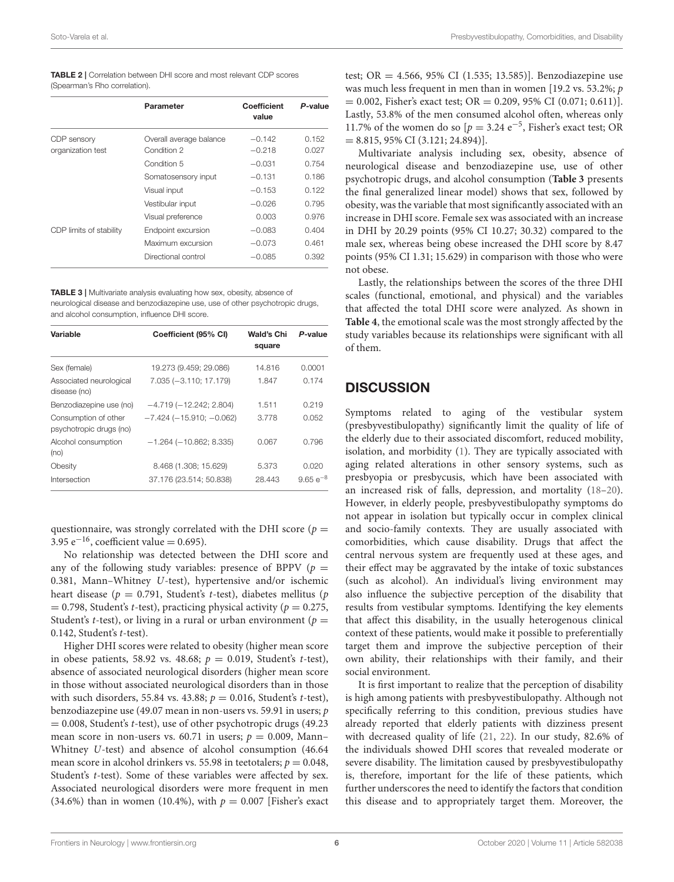<span id="page-5-0"></span>

| <b>TABLE 2</b>   Correlation between DHI score and most relevant CDP scores |  |  |  |  |
|-----------------------------------------------------------------------------|--|--|--|--|
| (Spearman's Rho correlation).                                               |  |  |  |  |

|                         | Parameter               | Coefficient<br>value | P-value |
|-------------------------|-------------------------|----------------------|---------|
| CDP sensory             | Overall average balance | $-0.142$             | 0.152   |
| organization test       | Condition 2             | $-0.218$             | 0.027   |
|                         | Condition 5             | $-0.031$             | 0.754   |
|                         | Somatosensory input     | $-0.131$             | 0.186   |
|                         | Visual input            | $-0.153$             | 0.122   |
|                         | Vestibular input        | $-0.026$             | 0.795   |
|                         | Visual preference       | 0.003                | 0.976   |
| CDP limits of stability | Endpoint excursion      | $-0.083$             | 0.404   |
|                         | Maximum excursion       | $-0.073$             | 0.461   |
|                         | Directional control     | $-0.085$             | 0.392   |

<span id="page-5-1"></span>TABLE 3 | Multivariate analysis evaluating how sex, obesity, absence of neurological disease and benzodiazepine use, use of other psychotropic drugs, and alcohol consumption, influence DHI score.

| Variable                                        | Coefficient (95% CI)              | Wald's Chi<br>square | P-value       |
|-------------------------------------------------|-----------------------------------|----------------------|---------------|
| Sex (female)                                    | 19.273 (9.459; 29.086)            | 14.816               | 0.0001        |
| Associated neurological<br>disease (no)         | 7.035 (-3.110; 17.179)            | 1.847                | 0.174         |
| Benzodiazepine use (no)                         | $-4.719(-12.242; 2.804)$          | 1.511                | 0.219         |
| Consumption of other<br>psychotropic drugs (no) | $-7.424$ ( $-15.910$ ; $-0.062$ ) | 3.778                | 0.052         |
| Alcohol consumption<br>(no)                     | $-1.264(-10.862; 8.335)$          | 0.067                | 0.796         |
| Obesity                                         | 8.468 (1.308; 15.629)             | 5.373                | 0.020         |
| Intersection                                    | 37.176 (23.514; 50.838)           | 28.443               | $9.65 e^{-8}$ |

questionnaire, was strongly correlated with the DHI score ( $p =$ 3.95  $e^{-16}$ , coefficient value = 0.695).

No relationship was detected between the DHI score and any of the following study variables: presence of BPPV ( $p =$ 0.381, Mann–Whitney U-test), hypertensive and/or ischemic heart disease ( $p = 0.791$ , Student's t-test), diabetes mellitus (p  $= 0.798$ , Student's t-test), practicing physical activity ( $p = 0.275$ , Student's *t*-test), or living in a rural or urban environment ( $p =$ 0.142, Student's t-test).

Higher DHI scores were related to obesity (higher mean score in obese patients, 58.92 vs. 48.68;  $p = 0.019$ , Student's t-test), absence of associated neurological disorders (higher mean score in those without associated neurological disorders than in those with such disorders, 55.84 vs. 43.88;  $p = 0.016$ , Student's t-test), benzodiazepine use (49.07 mean in non-users vs. 59.91 in users; p  $= 0.008$ , Student's t-test), use of other psychotropic drugs (49.23) mean score in non-users vs. 60.71 in users;  $p = 0.009$ , Mann-Whitney U-test) and absence of alcohol consumption (46.64 mean score in alcohol drinkers vs. 55.98 in teetotalers;  $p = 0.048$ , Student's t-test). Some of these variables were affected by sex. Associated neurological disorders were more frequent in men (34.6%) than in women (10.4%), with  $p = 0.007$  [Fisher's exact test; OR = 4.566, 95% CI (1.535; 13.585)]. Benzodiazepine use was much less frequent in men than in women [19.2 vs. 53.2%; p  $= 0.002$ , Fisher's exact test; OR  $= 0.209, 95\%$  CI (0.071; 0.611)]. Lastly, 53.8% of the men consumed alcohol often, whereas only 11.7% of the women do so  $[p = 3.24 \text{ e}^{-5}]$ , Fisher's exact test; OR  $= 8.815, 95\% \text{ CI } (3.121; 24.894)$ .

Multivariate analysis including sex, obesity, absence of neurological disease and benzodiazepine use, use of other psychotropic drugs, and alcohol consumption (**[Table 3](#page-5-1)** presents the final generalized linear model) shows that sex, followed by obesity, was the variable that most significantly associated with an increase in DHI score. Female sex was associated with an increase in DHI by 20.29 points (95% CI 10.27; 30.32) compared to the male sex, whereas being obese increased the DHI score by 8.47 points (95% CI 1.31; 15.629) in comparison with those who were not obese.

Lastly, the relationships between the scores of the three DHI scales (functional, emotional, and physical) and the variables that affected the total DHI score were analyzed. As shown in **[Table 4](#page-6-0)**, the emotional scale was the most strongly affected by the study variables because its relationships were significant with all of them.

#### **DISCUSSION**

Symptoms related to aging of the vestibular system (presbyvestibulopathy) significantly limit the quality of life of the elderly due to their associated discomfort, reduced mobility, isolation, and morbidity [\(1\)](#page-8-0). They are typically associated with aging related alterations in other sensory systems, such as presbyopia or presbycusis, which have been associated with an increased risk of falls, depression, and mortality [\(18–](#page-8-16)[20\)](#page-8-17). However, in elderly people, presbyvestibulopathy symptoms do not appear in isolation but typically occur in complex clinical and socio-family contexts. They are usually associated with comorbidities, which cause disability. Drugs that affect the central nervous system are frequently used at these ages, and their effect may be aggravated by the intake of toxic substances (such as alcohol). An individual's living environment may also influence the subjective perception of the disability that results from vestibular symptoms. Identifying the key elements that affect this disability, in the usually heterogenous clinical context of these patients, would make it possible to preferentially target them and improve the subjective perception of their own ability, their relationships with their family, and their social environment.

It is first important to realize that the perception of disability is high among patients with presbyvestibulopathy. Although not specifically referring to this condition, previous studies have already reported that elderly patients with dizziness present with decreased quality of life [\(21,](#page-8-18) [22\)](#page-8-19). In our study, 82.6% of the individuals showed DHI scores that revealed moderate or severe disability. The limitation caused by presbyvestibulopathy is, therefore, important for the life of these patients, which further underscores the need to identify the factors that condition this disease and to appropriately target them. Moreover, the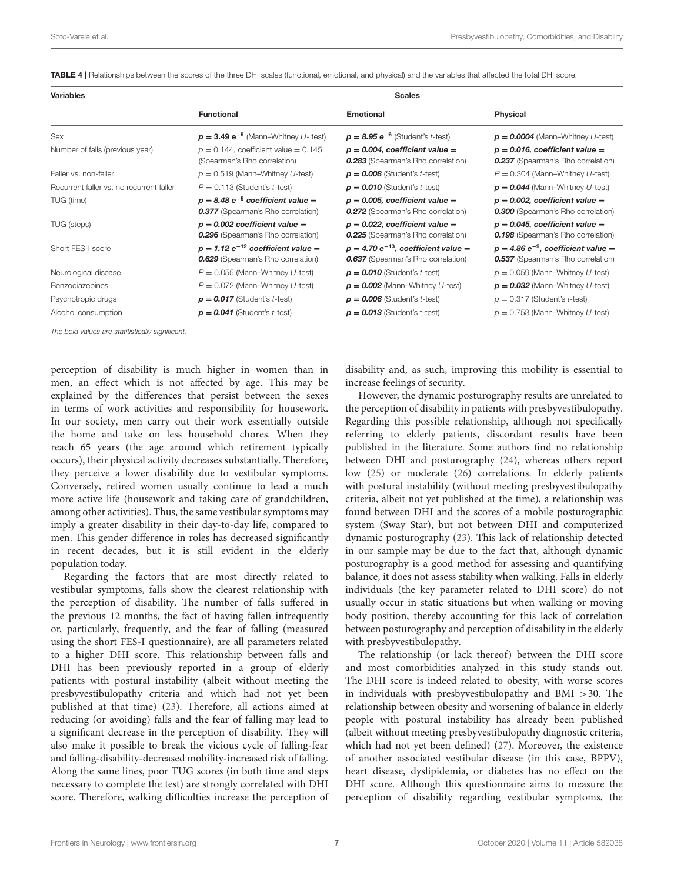<span id="page-6-0"></span>

| TABLE 4   Relationships between the scores of the three DHI scales (functional, emotional, and physical) and the variables that affected the total DHI score. |  |  |
|---------------------------------------------------------------------------------------------------------------------------------------------------------------|--|--|
|---------------------------------------------------------------------------------------------------------------------------------------------------------------|--|--|

| <b>Variables</b>                         | <b>Scales</b>                                                                       |                                                                                       |                                                                                      |  |  |  |
|------------------------------------------|-------------------------------------------------------------------------------------|---------------------------------------------------------------------------------------|--------------------------------------------------------------------------------------|--|--|--|
|                                          | <b>Functional</b>                                                                   | Emotional                                                                             | Physical                                                                             |  |  |  |
| Sex                                      | $p = 3.49 e^{-5}$ (Mann-Whitney U- test)                                            | $p = 8.95 e^{-6}$ (Student's t-test)                                                  | $p = 0.0004$ (Mann-Whitney U-test)                                                   |  |  |  |
| Number of falls (previous year)          | $p = 0.144$ , coefficient value = 0.145<br>(Spearman's Rho correlation)             | $p = 0.004$ , coefficient value =<br>0.283 (Spearman's Rho correlation)               | $p = 0.016$ , coefficient value =<br>0.237 (Spearman's Rho correlation)              |  |  |  |
| Faller vs. non-faller                    | $p = 0.519$ (Mann-Whitney U-test)                                                   | $p = 0.008$ (Student's <i>t</i> -test)                                                | $P = 0.304$ (Mann-Whitney U-test)                                                    |  |  |  |
| Recurrent faller vs. no recurrent faller | $P = 0.113$ (Student's <i>t</i> -test)                                              | $p = 0.010$ (Student's <i>t</i> -test)                                                | $p = 0.044$ (Mann-Whitney U-test)                                                    |  |  |  |
| TUG (time)                               | $p = 8.48 e^{-5}$ coefficient value =<br>0.377 (Spearman's Rho correlation)         | $p = 0.005$ , coefficient value =<br><b>0.272</b> (Spearman's Rho correlation)        | $p = 0.002$ , coefficient value =<br><b>0.300</b> (Spearman's Rho correlation)       |  |  |  |
| TUG (steps)                              | $p = 0.002$ coefficient value =<br>0.296 (Spearman's Rho correlation)               | $p = 0.022$ , coefficient value =<br><b>0.225</b> (Spearman's Rho correlation)        | $p = 0.045$ , coefficient value =<br><b>0.198</b> (Spearman's Rho correlation)       |  |  |  |
| Short FES-I score                        | $p = 1.12 e^{-12}$ coefficient value =<br><b>0.629</b> (Spearman's Rho correlation) | $p = 4.70 e^{-13}$ , coefficient value =<br><b>0.637</b> (Spearman's Rho correlation) | $p = 4.86 e^{-9}$ , coefficient value =<br><b>0.537</b> (Spearman's Rho correlation) |  |  |  |
| Neurological disease                     | $P = 0.055$ (Mann-Whitney U-test)                                                   | $p = 0.010$ (Student's <i>t</i> -test)                                                | $p = 0.059$ (Mann-Whitney U-test)                                                    |  |  |  |
| Benzodiazepines                          | $P = 0.072$ (Mann-Whitney U-test)                                                   | $p = 0.002$ (Mann-Whitney U-test)                                                     | $p = 0.032$ (Mann-Whitney U-test)                                                    |  |  |  |
| Psychotropic drugs                       | $p = 0.017$ (Student's <i>t</i> -test)                                              | $p = 0.006$ (Student's <i>t</i> -test)                                                | $p = 0.317$ (Student's <i>t</i> -test)                                               |  |  |  |
| Alcohol consumption                      | $p = 0.041$ (Student's <i>t</i> -test)                                              | $p = 0.013$ (Student's t-test)                                                        | $p = 0.753$ (Mann-Whitney U-test)                                                    |  |  |  |

The bold values are statitistically significant.

perception of disability is much higher in women than in men, an effect which is not affected by age. This may be explained by the differences that persist between the sexes in terms of work activities and responsibility for housework. In our society, men carry out their work essentially outside the home and take on less household chores. When they reach 65 years (the age around which retirement typically occurs), their physical activity decreases substantially. Therefore, they perceive a lower disability due to vestibular symptoms. Conversely, retired women usually continue to lead a much more active life (housework and taking care of grandchildren, among other activities). Thus, the same vestibular symptoms may imply a greater disability in their day-to-day life, compared to men. This gender difference in roles has decreased significantly in recent decades, but it is still evident in the elderly population today.

Regarding the factors that are most directly related to vestibular symptoms, falls show the clearest relationship with the perception of disability. The number of falls suffered in the previous 12 months, the fact of having fallen infrequently or, particularly, frequently, and the fear of falling (measured using the short FES-I questionnaire), are all parameters related to a higher DHI score. This relationship between falls and DHI has been previously reported in a group of elderly patients with postural instability (albeit without meeting the presbyvestibulopathy criteria and which had not yet been published at that time) [\(23\)](#page-8-20). Therefore, all actions aimed at reducing (or avoiding) falls and the fear of falling may lead to a significant decrease in the perception of disability. They will also make it possible to break the vicious cycle of falling-fear and falling-disability-decreased mobility-increased risk of falling. Along the same lines, poor TUG scores (in both time and steps necessary to complete the test) are strongly correlated with DHI score. Therefore, walking difficulties increase the perception of disability and, as such, improving this mobility is essential to increase feelings of security.

However, the dynamic posturography results are unrelated to the perception of disability in patients with presbyvestibulopathy. Regarding this possible relationship, although not specifically referring to elderly patients, discordant results have been published in the literature. Some authors find no relationship between DHI and posturography [\(24\)](#page-8-21), whereas others report low [\(25\)](#page-8-22) or moderate [\(26\)](#page-8-23) correlations. In elderly patients with postural instability (without meeting presbyvestibulopathy criteria, albeit not yet published at the time), a relationship was found between DHI and the scores of a mobile posturographic system (Sway Star), but not between DHI and computerized dynamic posturography [\(23\)](#page-8-20). This lack of relationship detected in our sample may be due to the fact that, although dynamic posturography is a good method for assessing and quantifying balance, it does not assess stability when walking. Falls in elderly individuals (the key parameter related to DHI score) do not usually occur in static situations but when walking or moving body position, thereby accounting for this lack of correlation between posturography and perception of disability in the elderly with presbyvestibulopathy.

The relationship (or lack thereof) between the DHI score and most comorbidities analyzed in this study stands out. The DHI score is indeed related to obesity, with worse scores in individuals with presbyvestibulopathy and BMI >30. The relationship between obesity and worsening of balance in elderly people with postural instability has already been published (albeit without meeting presbyvestibulopathy diagnostic criteria, which had not yet been defined) [\(27\)](#page-8-24). Moreover, the existence of another associated vestibular disease (in this case, BPPV), heart disease, dyslipidemia, or diabetes has no effect on the DHI score. Although this questionnaire aims to measure the perception of disability regarding vestibular symptoms, the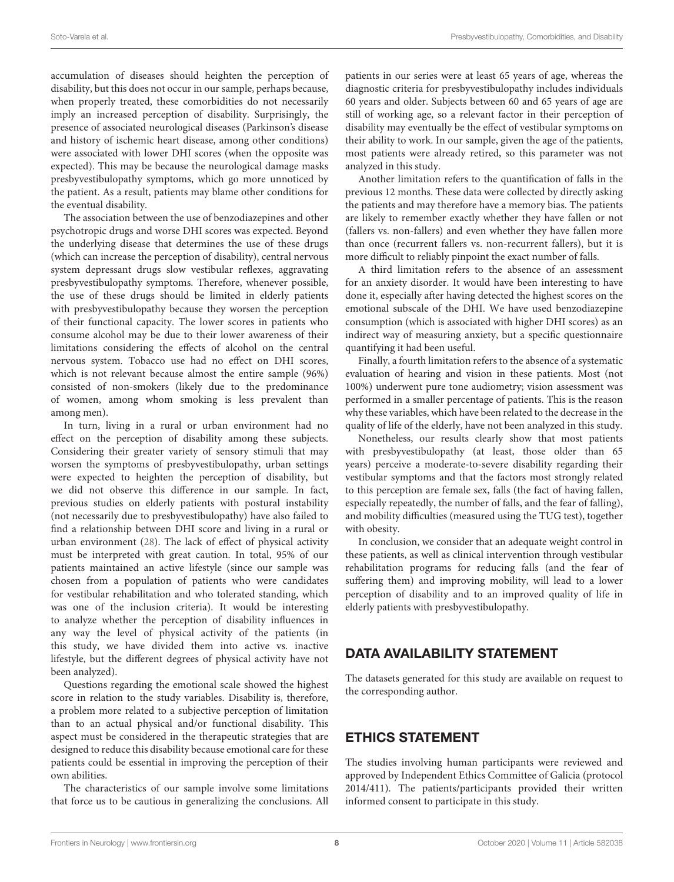accumulation of diseases should heighten the perception of disability, but this does not occur in our sample, perhaps because, when properly treated, these comorbidities do not necessarily imply an increased perception of disability. Surprisingly, the presence of associated neurological diseases (Parkinson's disease and history of ischemic heart disease, among other conditions) were associated with lower DHI scores (when the opposite was expected). This may be because the neurological damage masks presbyvestibulopathy symptoms, which go more unnoticed by the patient. As a result, patients may blame other conditions for the eventual disability.

The association between the use of benzodiazepines and other psychotropic drugs and worse DHI scores was expected. Beyond the underlying disease that determines the use of these drugs (which can increase the perception of disability), central nervous system depressant drugs slow vestibular reflexes, aggravating presbyvestibulopathy symptoms. Therefore, whenever possible, the use of these drugs should be limited in elderly patients with presbyvestibulopathy because they worsen the perception of their functional capacity. The lower scores in patients who consume alcohol may be due to their lower awareness of their limitations considering the effects of alcohol on the central nervous system. Tobacco use had no effect on DHI scores, which is not relevant because almost the entire sample (96%) consisted of non-smokers (likely due to the predominance of women, among whom smoking is less prevalent than among men).

In turn, living in a rural or urban environment had no effect on the perception of disability among these subjects. Considering their greater variety of sensory stimuli that may worsen the symptoms of presbyvestibulopathy, urban settings were expected to heighten the perception of disability, but we did not observe this difference in our sample. In fact, previous studies on elderly patients with postural instability (not necessarily due to presbyvestibulopathy) have also failed to find a relationship between DHI score and living in a rural or urban environment [\(28\)](#page-9-0). The lack of effect of physical activity must be interpreted with great caution. In total, 95% of our patients maintained an active lifestyle (since our sample was chosen from a population of patients who were candidates for vestibular rehabilitation and who tolerated standing, which was one of the inclusion criteria). It would be interesting to analyze whether the perception of disability influences in any way the level of physical activity of the patients (in this study, we have divided them into active vs. inactive lifestyle, but the different degrees of physical activity have not been analyzed).

Questions regarding the emotional scale showed the highest score in relation to the study variables. Disability is, therefore, a problem more related to a subjective perception of limitation than to an actual physical and/or functional disability. This aspect must be considered in the therapeutic strategies that are designed to reduce this disability because emotional care for these patients could be essential in improving the perception of their own abilities.

The characteristics of our sample involve some limitations that force us to be cautious in generalizing the conclusions. All

patients in our series were at least 65 years of age, whereas the diagnostic criteria for presbyvestibulopathy includes individuals 60 years and older. Subjects between 60 and 65 years of age are still of working age, so a relevant factor in their perception of disability may eventually be the effect of vestibular symptoms on their ability to work. In our sample, given the age of the patients, most patients were already retired, so this parameter was not analyzed in this study.

Another limitation refers to the quantification of falls in the previous 12 months. These data were collected by directly asking the patients and may therefore have a memory bias. The patients are likely to remember exactly whether they have fallen or not (fallers vs. non-fallers) and even whether they have fallen more than once (recurrent fallers vs. non-recurrent fallers), but it is more difficult to reliably pinpoint the exact number of falls.

A third limitation refers to the absence of an assessment for an anxiety disorder. It would have been interesting to have done it, especially after having detected the highest scores on the emotional subscale of the DHI. We have used benzodiazepine consumption (which is associated with higher DHI scores) as an indirect way of measuring anxiety, but a specific questionnaire quantifying it had been useful.

Finally, a fourth limitation refers to the absence of a systematic evaluation of hearing and vision in these patients. Most (not 100%) underwent pure tone audiometry; vision assessment was performed in a smaller percentage of patients. This is the reason why these variables, which have been related to the decrease in the quality of life of the elderly, have not been analyzed in this study.

Nonetheless, our results clearly show that most patients with presbyvestibulopathy (at least, those older than 65 years) perceive a moderate-to-severe disability regarding their vestibular symptoms and that the factors most strongly related to this perception are female sex, falls (the fact of having fallen, especially repeatedly, the number of falls, and the fear of falling), and mobility difficulties (measured using the TUG test), together with obesity.

In conclusion, we consider that an adequate weight control in these patients, as well as clinical intervention through vestibular rehabilitation programs for reducing falls (and the fear of suffering them) and improving mobility, will lead to a lower perception of disability and to an improved quality of life in elderly patients with presbyvestibulopathy.

## DATA AVAILABILITY STATEMENT

The datasets generated for this study are available on request to the corresponding author.

## ETHICS STATEMENT

The studies involving human participants were reviewed and approved by Independent Ethics Committee of Galicia (protocol 2014/411). The patients/participants provided their written informed consent to participate in this study.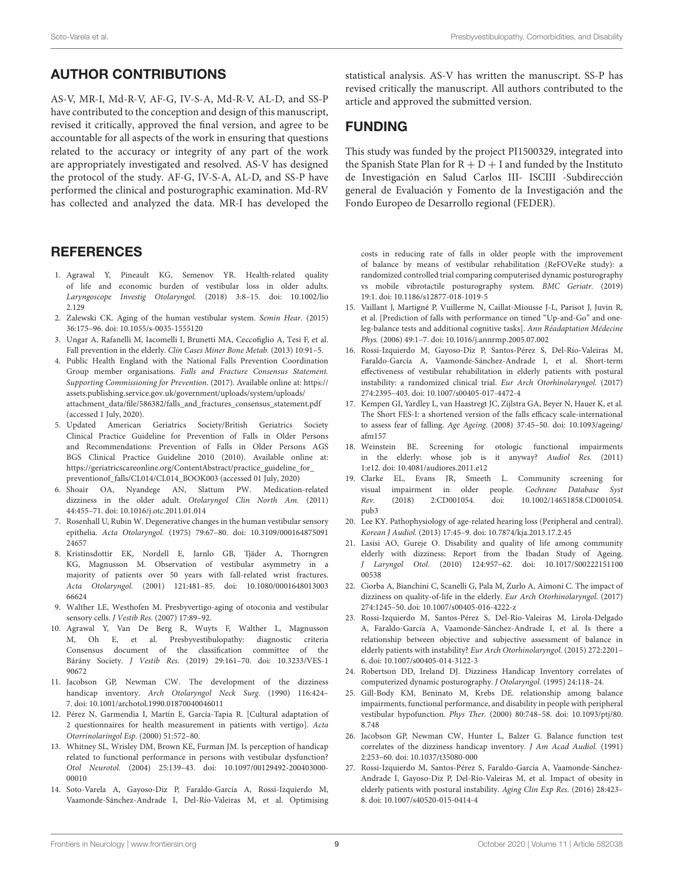# AUTHOR CONTRIBUTIONS

AS-V, MR-I, Md-R-V, AF-G, IV-S-A, Md-R-V, AL-D, and SS-P have contributed to the conception and design of this manuscript, revised it critically, approved the final version, and agree to be accountable for all aspects of the work in ensuring that questions related to the accuracy or integrity of any part of the work are appropriately investigated and resolved. AS-V has designed the protocol of the study. AF-G, IV-S-A, AL-D, and SS-P have performed the clinical and posturographic examination. Md-RV has collected and analyzed the data. MR-I has developed the

## **REFERENCES**

- <span id="page-8-0"></span>1. Agrawal Y, Pineault KG, Semenov YR. Health-related quality of life and economic burden of vestibular loss in older adults. [Laryngoscope Investig Otolaryngol.](https://doi.org/10.1002/lio2.129) (2018) 3:8–15. doi: 10.1002/lio 2.129
- <span id="page-8-1"></span>2. Zalewski CK. Aging of the human vestibular system. Semin Hear. (2015) 36:175–96. doi: [10.1055/s-0035-1555120](https://doi.org/10.1055/s-0035-1555120)
- <span id="page-8-2"></span>3. Ungar A, Rafanelli M, Iacomelli I, Brunetti MA, Ceccofiglio A, Tesi F, et al. Fall prevention in the elderly. Clin Cases Miner Bone Metab. (2013) 10:91–5.
- <span id="page-8-3"></span>4. Public Health England with the National Falls Prevention Coordination Group member organisations. Falls and Fracture Consensus Statement. Supporting Commissioning for Prevention. (2017). Available online at: [https://](https://assets.publishing.service.gov.uk/government/uploads/system/uploads/attachment_data/file/586382/falls_and_fractures_consensus_statement.pdf) [assets.publishing.service.gov.uk/government/uploads/system/uploads/](https://assets.publishing.service.gov.uk/government/uploads/system/uploads/attachment_data/file/586382/falls_and_fractures_consensus_statement.pdf) [attachment\\_data/file/586382/falls\\_and\\_fractures\\_consensus\\_statement.pdf](https://assets.publishing.service.gov.uk/government/uploads/system/uploads/attachment_data/file/586382/falls_and_fractures_consensus_statement.pdf) (accessed 1 July, 2020).
- <span id="page-8-4"></span>5. Updated American Geriatrics Society/British Geriatrics Society Clinical Practice Guideline for Prevention of Falls in Older Persons and Recommendations: Prevention of Falls in Older Persons AGS BGS Clinical Practice Guideline 2010 (2010). Available online at: [https://geriatricscareonline.org/ContentAbstract/practice\\_guideline\\_for\\_](https://geriatricscareonline.org/ContentAbstract/practice_guideline_for_preventionof_falls/CL014/CL014_BOOK003) [preventionof\\_falls/CL014/CL014\\_BOOK003](https://geriatricscareonline.org/ContentAbstract/practice_guideline_for_preventionof_falls/CL014/CL014_BOOK003) (accessed 01 July, 2020)
- <span id="page-8-5"></span>6. Shoair OA, Nyandege AN, Slattum PW. Medication-related dizziness in the older adult. Otolaryngol Clin North Am. (2011) 44:455–71. doi: [10.1016/j.otc.2011.01.014](https://doi.org/10.1016/j.otc.2011.01.014)
- <span id="page-8-6"></span>7. Rosenhall U, Rubin W. Degenerative changes in the human vestibular sensory epithelia. Acta Otolaryngol. [\(1975\) 79:67–80. doi: 10.3109/000164875091](https://doi.org/10.3109/00016487509124657) 24657
- 8. Kristinsdottir EK, Nordell E, Jarnlo GB, Tjäder A, Thorngren KG, Magnusson M. Observation of vestibular asymmetry in a majority of patients over 50 years with fall-related wrist fractures. Acta Otolaryngol. [\(2001\) 121:481–85. doi: 10.1080/0001648013003](https://doi.org/10.1080/000164801300366624) 66624
- <span id="page-8-7"></span>9. Walther LE, Westhofen M. Presbyvertigo-aging of otoconia and vestibular sensory cells. J Vestib Res. (2007) 17:89–92.
- <span id="page-8-8"></span>10. Agrawal Y, Van De Berg R, Wuyts F, Walther L, Magnusson M, Oh E, et al. Presbyvestibulopathy: diagnostic criteria Consensus document of the classification committee of the Bárány Society. J Vestib Res. [\(2019\) 29:161–70. doi: 10.3233/VES-1](https://doi.org/10.3233/VES-190672) 90672
- <span id="page-8-9"></span>11. Jacobson GP, Newman CW. The development of the dizziness handicap inventory. Arch Otolaryngol Neck Surg. (1990) 116:424– 7. doi: [10.1001/archotol.1990.01870040046011](https://doi.org/10.1001/archotol.1990.01870040046011)
- <span id="page-8-10"></span>12. Pérez N, Garmendia I, Martín E, García-Tapia R. [Cultural adaptation of 2 questionnaires for health measurement in patients with vertigo]. Acta Otorrinolaringol Esp. (2000) 51:572–80.
- <span id="page-8-11"></span>13. Whitney SL, Wrisley DM, Brown KE, Furman JM. Is perception of handicap related to functional performance in persons with vestibular dysfunction? Otol Neurotol. [\(2004\) 25:139–43. doi: 10.1097/00129492-200403000-](https://doi.org/10.1097/00129492-200403000-00010) 00010
- <span id="page-8-12"></span>14. Soto-Varela A, Gayoso-Diz P, Faraldo-García A, Rossi-Izquierdo M, Vaamonde-Sánchez-Andrade I, Del-Río-Valeiras M, et al. Optimising

statistical analysis. AS-V has written the manuscript. SS-P has revised critically the manuscript. All authors contributed to the article and approved the submitted version.

#### FUNDING

This study was funded by the project PI1500329, integrated into the Spanish State Plan for  $R + D + I$  and funded by the Instituto de Investigación en Salud Carlos III- ISCIII -Subdirección general de Evaluación y Fomento de la Investigación and the Fondo Europeo de Desarrollo regional (FEDER).

costs in reducing rate of falls in older people with the improvement of balance by means of vestibular rehabilitation (ReFOVeRe study): a randomized controlled trial comparing computerised dynamic posturography vs mobile vibrotactile posturography system. BMC Geriatr. (2019) 19:1. doi: [10.1186/s12877-018-1019-5](https://doi.org/10.1186/s12877-018-1019-5)

- <span id="page-8-13"></span>15. Vaillant J, Martigné P, Vuillerme N, Caillat-Miousse J-L, Parisot J, Juvin R, et al. [Prediction of falls with performance on timed "Up-and-Go" and oneleg-balance tests and additional cognitive tasks]. Ann Réadaptation Médecine Phys. (2006) 49:1–7. doi: [10.1016/j.annrmp.2005.07.002](https://doi.org/10.1016/j.annrmp.2005.07.002)
- <span id="page-8-14"></span>16. Rossi-Izquierdo M, Gayoso-Diz P, Santos-Pérez S, Del-Río-Valeiras M, Faraldo-García A, Vaamonde-Sánchez-Andrade I, et al. Short-term effectiveness of vestibular rehabilitation in elderly patients with postural instability: a randomized clinical trial. Eur Arch Otorhinolaryngol. (2017) 274:2395–403. doi: [10.1007/s00405-017-4472-4](https://doi.org/10.1007/s00405-017-4472-4)
- <span id="page-8-15"></span>17. Kempen GI, Yardley L, van Haastregt JC, Zijlstra GA, Beyer N, Hauer K, et al. The Short FES-I: a shortened version of the falls efficacy scale-international to assess fear of falling. Age Ageing[. \(2008\) 37:45–50. doi: 10.1093/ageing/](https://doi.org/10.1093/ageing/afm157) afm157
- <span id="page-8-16"></span>18. Weinstein BE. Screening for otologic functional impairments in the elderly: whose job is it anyway? Audiol Res. (2011) 1:e12. doi: [10.4081/audiores.2011.e12](https://doi.org/10.4081/audiores.2011.e12)
- 19. Clarke EL, Evans JR, Smeeth L. Community screening for visual impairment in older people. Cochrane Database Syst Rev. [\(2018\) 2:CD001054. doi: 10.1002/14651858.CD001054.](https://doi.org/10.1002/14651858.CD001054.pub3) pub3
- <span id="page-8-17"></span>20. Lee KY. Pathophysiology of age-related hearing loss (Peripheral and central). Korean J Audiol. (2013) 17:45–9. doi: [10.7874/kja.2013.17.2.45](https://doi.org/10.7874/kja.2013.17.2.45)
- <span id="page-8-18"></span>21. Lasisi AO, Gureje O. Disability and quality of life among community elderly with dizziness: Report from the Ibadan Study of Ageing. J Laryngol Otol. [\(2010\) 124:957–62. doi: 10.1017/S00222151100](https://doi.org/10.1017/S0022215110000538) 00538
- <span id="page-8-19"></span>22. Ciorba A, Bianchini C, Scanelli G, Pala M, Zurlo A, Aimoni C. The impact of dizziness on quality-of-life in the elderly. Eur Arch Otorhinolaryngol. (2017) 274:1245–50. doi: [10.1007/s00405-016-4222-z](https://doi.org/10.1007/s00405-016-4222-z)
- <span id="page-8-20"></span>23. Rossi-Izquierdo M, Santos-Pérez S, Del-Río-Valeiras M, Lirola-Delgado A, Faraldo-García A, Vaamonde-Sánchez-Andrade I, et al. Is there a relationship between objective and subjective assessment of balance in elderly patients with instability? Eur Arch Otorhinolaryngol. (2015) 272:2201– 6. doi: [10.1007/s00405-014-3122-3](https://doi.org/10.1007/s00405-014-3122-3)
- <span id="page-8-21"></span>24. Robertson DD, Ireland DJ. Dizziness Handicap Inventory correlates of computerized dynamic posturography. J Otolaryngol. (1995) 24:118–24.
- <span id="page-8-22"></span>25. Gill-Body KM, Beninato M, Krebs DE. relationship among balance impairments, functional performance, and disability in people with peripheral vestibular hypofunction. Phys Ther. [\(2000\) 80:748–58. doi: 10.1093/ptj/80.](https://doi.org/10.1093/ptj/80.8.748) 8.748
- <span id="page-8-23"></span>26. Jacobson GP, Newman CW, Hunter L, Balzer G. Balance function test correlates of the dizziness handicap inventory. J Am Acad Audiol. (1991) 2:253–60. doi: [10.1037/t35080-000](https://doi.org/10.1037/t35080-000)
- <span id="page-8-24"></span>27. Rossi-Izquierdo M, Santos-Pérez S, Faraldo-García A, Vaamonde-Sánchez-Andrade I, Gayoso-Diz P, Del-Río-Valeiras M, et al. Impact of obesity in elderly patients with postural instability. Aging Clin Exp Res. (2016) 28:423– 8. doi: [10.1007/s40520-015-0414-4](https://doi.org/10.1007/s40520-015-0414-4)